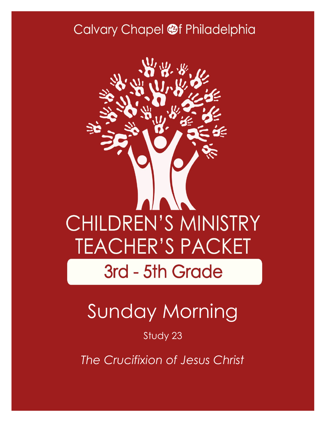### Calvary Chapel @f Philadelphia



# Sunday Morning

#### Study 23

*The Crucifixion of Jesus Christ*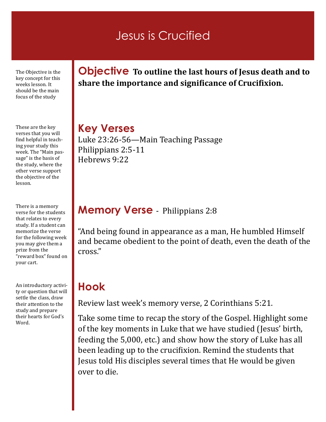### Jesus is Crucified

The Objective is the key concept for this weeks lesson. It should be the main focus of the study

These are the key verses that you will find helpful in teaching your study this week. The "Main passage" is the basis of the study, where the other verse support the objective of the lesson.

There is a memory verse for the students that relates to every study. If a student can memorize the verse for the following week you may give them a prize from the "reward box" found on your cart.

An introductory activity or question that will settle the class, draw their attention to the study and prepare their hearts for God's Word.

#### **Objective To outline the last hours of Jesus death and to share the importance and significance of Crucifixion.**

**Key Verses** Luke 23:26-56—Main Teaching Passage Philippians 2:5-11 Hebrews 9:22

#### **Memory Verse** - Philippians 2:8

"And being found in appearance as a man, He humbled Himself and became obedient to the point of death, even the death of the cross."

#### **Hook**

Review last week's memory verse, 2 Corinthians 5:21.

Take some time to recap the story of the Gospel. Highlight some of the key moments in Luke that we have studied (Jesus' birth, feeding the 5,000, etc.) and show how the story of Luke has all been leading up to the crucifixion. Remind the students that Jesus told His disciples several times that He would be given over to die.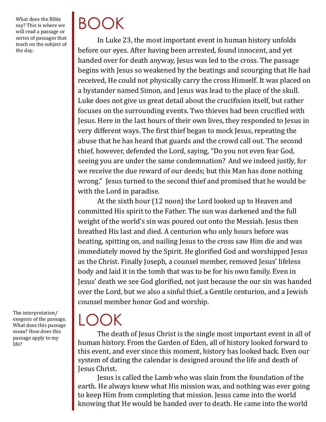What does the Bible say? This is where we will read a passage or series of passages that teach on the subject of the day.

# BOOK

In Luke 23, the most important event in human history unfolds before our eyes. After having been arrested, found innocent, and yet handed over for death anyway, Jesus was led to the cross. The passage begins with Jesus so weakened by the beatings and scourging that He had received, He could not physically carry the cross Himself. It was placed on a bystander named Simon, and Jesus was lead to the place of the skull. Luke does not give us great detail about the crucifixion itself, but rather focuses on the surrounding events. Two thieves had been crucified with Jesus. Here in the last hours of their own lives, they responded to Jesus in very different ways. The first thief began to mock Jesus, repeating the abuse that he has heard that guards and the crowd call out. The second thief, however, defended the Lord, saying, "Do you not even fear God, seeing you are under the same condemnation? And we indeed justly, for we receive the due reward of our deeds; but this Man has done nothing wrong." Jesus turned to the second thief and promised that he would be with the Lord in paradise.

At the sixth hour (12 noon) the Lord looked up to Heaven and committed His spirit to the Father. The sun was darkened and the full weight of the world's sin was poured out onto the Messiah. Jesus then breathed His last and died. A centurion who only hours before was beating, spitting on, and nailing Jesus to the cross saw Him die and was immediately moved by the Spirit. He glorified God and worshipped Jesus as the Christ. Finally Joseph, a counsel member, removed Jesus' lifeless body and laid it in the tomb that was to be for his own family. Even in Jesus' death we see God glorified, not just because the our sin was handed over the Lord, but we also a sinful thief, a Gentile centurion, and a Jewish counsel member honor God and worship.

The interpretation/ exegesis of the passage. What does this passage mean? How does this passage apply to my life?

### LOC ) K

The death of Jesus Christ is the single most important event in all of human history. From the Garden of Eden, all of history looked forward to this event, and ever since this moment, history has looked back. Even our system of dating the calendar is designed around the life and death of Jesus Christ.

Jesus is called the Lamb who was slain from the foundation of the earth. He always knew what His mission was, and nothing was ever going to keep Him from completing that mission. Jesus came into the world knowing that He would be handed over to death. He came into the world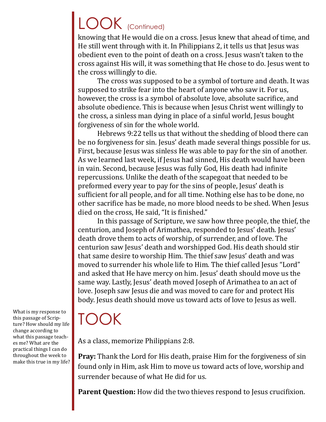## LOOK (Continued)

knowing that He would die on a cross. Jesus knew that ahead of time, and He still went through with it. In Philippians 2, it tells us that Jesus was obedient even to the point of death on a cross. Jesus wasn't taken to the cross against His will, it was something that He chose to do. Jesus went to the cross willingly to die.

The cross was supposed to be a symbol of torture and death. It was supposed to strike fear into the heart of anyone who saw it. For us, however, the cross is a symbol of absolute love, absolute sacrifice, and absolute obedience. This is because when Jesus Christ went willingly to the cross, a sinless man dying in place of a sinful world, Jesus bought forgiveness of sin for the whole world.

Hebrews 9:22 tells us that without the shedding of blood there can be no forgiveness for sin. Jesus' death made several things possible for us. First, because Jesus was sinless He was able to pay for the sin of another. As we learned last week, if Jesus had sinned, His death would have been in vain. Second, because Jesus was fully God, His death had infinite repercussions. Unlike the death of the scapegoat that needed to be preformed every year to pay for the sins of people, Jesus' death is sufficient for all people, and for all time. Nothing else has to be done, no other sacrifice has be made, no more blood needs to be shed. When Jesus died on the cross, He said, "It is finished."

In this passage of Scripture, we saw how three people, the thief, the centurion, and Joseph of Arimathea, responded to Jesus' death. Jesus' death drove them to acts of worship, of surrender, and of love. The centurion saw Jesus' death and worshipped God. His death should stir that same desire to worship Him. The thief saw Jesus' death and was moved to surrender his whole life to Him. The thief called Jesus "Lord" and asked that He have mercy on him. Jesus' death should move us the same way. Lastly, Jesus' death moved Joseph of Arimathea to an act of love. Joseph saw Jesus die and was moved to care for and protect His body. Jesus death should move us toward acts of love to Jesus as well.

### TOOK

As a class, memorize Philippians 2:8.

**Pray:** Thank the Lord for His death, praise Him for the forgiveness of sin found only in Him, ask Him to move us toward acts of love, worship and surrender because of what He did for us.

**Parent Question:** How did the two thieves respond to Jesus crucifixion.

What is my response to this passage of Scripture? How should my life change according to what this passage teaches me? What are the practical things I can do throughout the week to make this true in my life?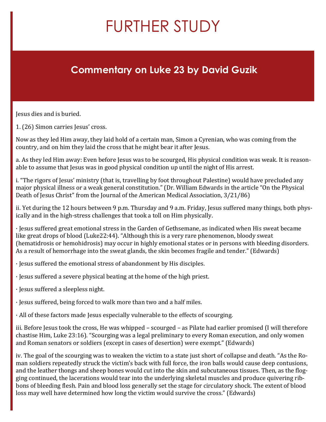# FURTHER STUDY

#### **Commentary on Luke 23 by David Guzik**

Jesus dies and is buried.

1. (26) Simon carries Jesus' cross.

Now as they led Him away, they laid hold of a certain man, Simon a Cyrenian, who was coming from the country, and on him they laid the cross that he might bear it after Jesus.

a. As they led Him away: Even before Jesus was to be scourged, His physical condition was weak. It is reasonable to assume that Jesus was in good physical condition up until the night of His arrest.

i. "The rigors of Jesus' ministry (that is, travelling by foot throughout Palestine) would have precluded any major physical illness or a weak general constitution." (Dr. William Edwards in the article "On the Physical Death of Jesus Christ" from the Journal of the American Medical Association, 3/21/86)

ii. Yet during the 12 hours between 9 p.m. Thursday and 9 a.m. Friday, Jesus suffered many things, both physically and in the high-stress challenges that took a toll on Him physically.

· Jesus suffered great emotional stress in the Garden of Gethsemane, as indicated when His sweat became like great drops of blood (Luke22:44). "Although this is a very rare phenomenon, bloody sweat (hematidrosis or hemohidrosis) may occur in highly emotional states or in persons with bleeding disorders. As a result of hemorrhage into the sweat glands, the skin becomes fragile and tender." (Edwards)

· Jesus suffered the emotional stress of abandonment by His disciples.

- · Jesus suffered a severe physical beating at the home of the high priest.
- · Jesus suffered a sleepless night.
- · Jesus suffered, being forced to walk more than two and a half miles.
- $\cdot$  All of these factors made Jesus especially vulnerable to the effects of scourging.

iii. Before Jesus took the cross, He was whipped – scourged – as Pilate had earlier promised (I will therefore chastise Him, Luke 23:16). "Scourging was a legal preliminary to every Roman execution, and only women and Roman senators or soldiers (except in cases of desertion) were exempt." (Edwards)

iv. The goal of the scourging was to weaken the victim to a state just short of collapse and death. "As the Roman soldiers repeatedly struck the victim's back with full force, the iron balls would cause deep contusions, and the leather thongs and sheep bones would cut into the skin and subcutaneous tissues. Then, as the flogging continued, the lacerations would tear into the underlying skeletal muscles and produce quivering ribbons of bleeding flesh. Pain and blood loss generally set the stage for circulatory shock. The extent of blood loss may well have determined how long the victim would survive the cross." (Edwards)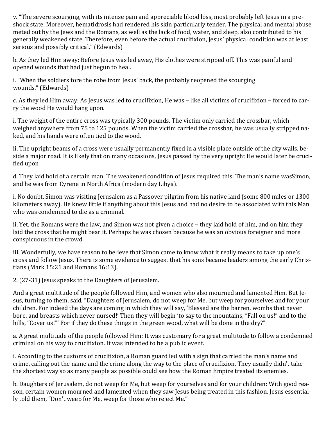v. "The severe scourging, with its intense pain and appreciable blood loss, most probably left Jesus in a preshock state. Moreover, hematidrosis had rendered his skin particularly tender. The physical and mental abuse meted out by the Jews and the Romans, as well as the lack of food, water, and sleep, also contributed to his generally weakened state. Therefore, even before the actual crucifixion, Jesus' physical condition was at least serious and possibly critical." (Edwards)

b. As they led Him away: Before Jesus was led away, His clothes were stripped off. This was painful and opened wounds that had just begun to heal.

i. "When the soldiers tore the robe from Jesus' back, the probably reopened the scourging wounds." (Edwards)

c. As they led Him away: As Jesus was led to crucifixion, He was – like all victims of crucifixion – forced to carry the wood He would hang upon.

i. The weight of the entire cross was typically 300 pounds. The victim only carried the crossbar, which weighed anywhere from 75 to 125 pounds. When the victim carried the crossbar, he was usually stripped naked, and his hands were often tied to the wood.

ii. The upright beams of a cross were usually permanently fixed in a visible place outside of the city walls, beside a major road. It is likely that on many occasions, Jesus passed by the very upright He would later be crucified upon

d. They laid hold of a certain man: The weakened condition of Jesus required this. The man's name wasSimon, and he was from Cyrene in North Africa (modern day Libya).

i. No doubt, Simon was visiting Jerusalem as a Passover pilgrim from his native land (some 800 miles or 1300 kilometers away). He knew little if anything about this Jesus and had no desire to be associated with this Man who was condemned to die as a criminal.

ii. Yet, the Romans were the law, and Simon was not given a choice – they laid hold of him, and on him they laid the cross that he might bear it. Perhaps he was chosen because he was an obvious foreigner and more conspicuous in the crowd.

iii. Wonderfully, we have reason to believe that Simon came to know what it really means to take up one's cross and follow Jesus. There is some evidence to suggest that his sons became leaders among the early Christians (Mark 15:21 and Romans 16:13).

2. (27-31) Jesus speaks to the Daughters of Jerusalem.

And a great multitude of the people followed Him, and women who also mourned and lamented Him. But Jesus, turning to them, said, "Daughters of Jerusalem, do not weep for Me, but weep for yourselves and for your children. For indeed the days are coming in which they will say, 'Blessed are the barren, wombs that never bore, and breasts which never nursed!' Then they will begin 'to say to the mountains, "Fall on us!" and to the hills, "Cover us!"' For if they do these things in the green wood, what will be done in the dry?"

a. A great multitude of the people followed Him: It was customary for a great multitude to follow a condemned criminal on his way to crucifixion. It was intended to be a public event.

i. According to the customs of crucifixion, a Roman guard led with a sign that carried the man's name and crime, calling out the name and the crime along the way to the place of crucifixion. They usually didn't take the shortest way so as many people as possible could see how the Roman Empire treated its enemies.

b. Daughters of Jerusalem, do not weep for Me, but weep for yourselves and for your children: With good reason, certain women mourned and lamented when they saw Jesus being treated in this fashion. Jesus essentially told them, "Don't weep for Me, weep for those who reject Me."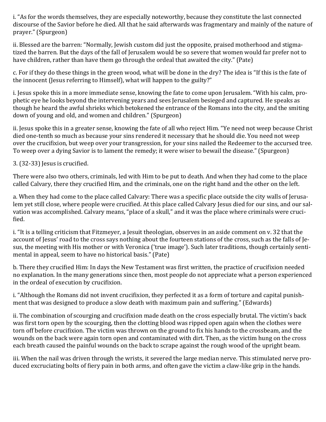i. "As for the words themselves, they are especially noteworthy, because they constitute the last connected discourse of the Savior before he died. All that he said afterwards was fragmentary and mainly of the nature of prayer." (Spurgeon)

ii. Blessed are the barren: "Normally, Jewish custom did just the opposite, praised motherhood and stigmatized the barren. But the days of the fall of Jerusalem would be so severe that women would far prefer not to have children, rather than have them go through the ordeal that awaited the city." (Pate)

c. For if they do these things in the green wood, what will be done in the dry? The idea is "If this is the fate of the innocent (Jesus referring to Himself), what will happen to the guilty?"

i. Jesus spoke this in a more immediate sense, knowing the fate to come upon Jerusalem. "With his calm, prophetic eye he looks beyond the intervening years and sees Jerusalem besieged and captured. He speaks as though he heard the awful shrieks which betokened the entrance of the Romans into the city, and the smiting down of young and old, and women and children." (Spurgeon)

ii. Jesus spoke this in a greater sense, knowing the fate of all who reject Him. "Ye need not weep because Christ died one-tenth so much as because your sins rendered it necessary that he should die. You need not weep over the crucifixion, but weep over your transgression, for your sins nailed the Redeemer to the accursed tree. To weep over a dying Savior is to lament the remedy; it were wiser to bewail the disease." (Spurgeon)

3. (32-33) Jesus is crucified.

There were also two others, criminals, led with Him to be put to death. And when they had come to the place called Calvary, there they crucified Him, and the criminals, one on the right hand and the other on the left.

a. When they had come to the place called Calvary: There was a specific place outside the city walls of Jerusalem yet still close, where people were crucified. At this place called Calvary Jesus died for our sins, and our salvation was accomplished. Calvary means, "place of a skull," and it was the place where criminals were crucified.

i. "It is a telling criticism that Fitzmeyer, a Jesuit theologian, observes in an aside comment on v. 32 that the account of Jesus' road to the cross says nothing about the fourteen stations of the cross, such as the falls of Jesus, the meeting with His mother or with Veronica ('true image'). Such later traditions, though certainly sentimental in appeal, seem to have no historical basis." (Pate)

b. There they crucified Him: In days the New Testament was first written, the practice of crucifixion needed no explanation. In the many generations since then, most people do not appreciate what a person experienced in the ordeal of execution by crucifixion.

i. "Although the Romans did not invent crucifixion, they perfected it as a form of torture and capital punishment that was designed to produce a slow death with maximum pain and suffering." (Edwards)

ii. The combination of scourging and crucifixion made death on the cross especially brutal. The victim's back was first torn open by the scourging, then the clotting blood was ripped open again when the clothes were torn off before crucifixion. The victim was thrown on the ground to fix his hands to the crossbeam, and the wounds on the back were again torn open and contaminated with dirt. Then, as the victim hung on the cross each breath caused the painful wounds on the back to scrape against the rough wood of the upright beam.

iii. When the nail was driven through the wrists, it severed the large median nerve. This stimulated nerve produced excruciating bolts of fiery pain in both arms, and often gave the victim a claw-like grip in the hands.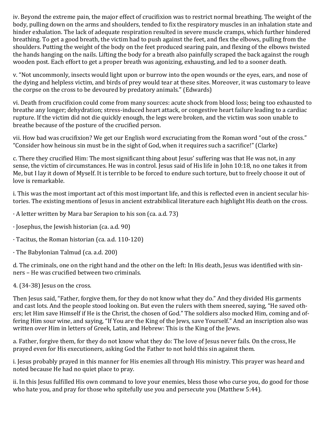iv. Beyond the extreme pain, the major effect of crucifixion was to restrict normal breathing. The weight of the body, pulling down on the arms and shoulders, tended to fix the respiratory muscles in an inhalation state and hinder exhalation. The lack of adequate respiration resulted in severe muscle cramps, which further hindered breathing. To get a good breath, the victim had to push against the feet, and flex the elbows, pulling from the shoulders. Putting the weight of the body on the feet produced searing pain, and flexing of the elbows twisted the hands hanging on the nails. Lifting the body for a breath also painfully scraped the back against the rough wooden post. Each effort to get a proper breath was agonizing, exhausting, and led to a sooner death.

v. "Not uncommonly, insects would light upon or burrow into the open wounds or the eyes, ears, and nose of the dying and helpless victim, and birds of prey would tear at these sites. Moreover, it was customary to leave the corpse on the cross to be devoured by predatory animals." (Edwards)

vi. Death from crucifixion could come from many sources: acute shock from blood loss; being too exhausted to breathe any longer; dehydration; stress-induced heart attack, or congestive heart failure leading to a cardiac rupture. If the victim did not die quickly enough, the legs were broken, and the victim was soon unable to breathe because of the posture of the crucified person.

vii. How bad was crucifixion? We get our English word excruciating from the Roman word "out of the cross." "Consider how heinous sin must be in the sight of God, when it requires such a sacrifice!" (Clarke)

c. There they crucified Him: The most significant thing about Jesus' suffering was that He was not, in any sense, the victim of circumstances. He was in control. Jesus said of His life in John 10:18, no one takes it from Me, but I lay it down of Myself. It is terrible to be forced to endure such torture, but to freely choose it out of love is remarkable.

i. This was the most important act of this most important life, and this is reflected even in ancient secular histories. The existing mentions of Jesus in ancient extrabiblical literature each highlight His death on the cross.

· A letter written by Mara bar Serapion to his son (ca. a.d. 73)

- · Josephus, the Jewish historian (ca. a.d. 90)
- · Tacitus, the Roman historian (ca. a.d. 110-120)
- · The Babylonian Talmud (ca. a.d. 200)

d. The criminals, one on the right hand and the other on the left: In His death, Jesus was identified with sinners – He was crucified between two criminals.

#### 4. (34-38) Jesus on the cross.

Then Jesus said, "Father, forgive them, for they do not know what they do." And they divided His garments and cast lots. And the people stood looking on. But even the rulers with them sneered, saying, "He saved others; let Him save Himself if He is the Christ, the chosen of God." The soldiers also mocked Him, coming and offering Him sour wine, and saying, "If You are the King of the Jews, save Yourself." And an inscription also was written over Him in letters of Greek, Latin, and Hebrew: This is the King of the Jews.

a. Father, forgive them, for they do not know what they do: The love of Jesus never fails. On the cross, He prayed even for His executioners, asking God the Father to not hold this sin against them.

i. Jesus probably prayed in this manner for His enemies all through His ministry. This prayer was heard and noted because He had no quiet place to pray.

ii. In this Jesus fulfilled His own command to love your enemies, bless those who curse you, do good for those who hate you, and pray for those who spitefully use you and persecute you (Matthew 5:44).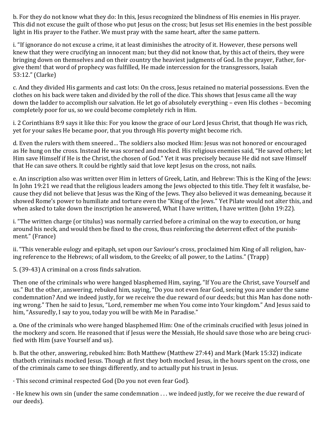b. For they do not know what they do: In this, Jesus recognized the blindness of His enemies in His prayer. This did not excuse the guilt of those who put Jesus on the cross; but Jesus set His enemies in the best possible light in His prayer to the Father. We must pray with the same heart, after the same pattern.

i. "If ignorance do not excuse a crime, it at least diminishes the atrocity of it. However, these persons well knew that they were crucifying an innocent man; but they did not know that, by this act of theirs, they were bringing down on themselves and on their country the heaviest judgments of God. In the prayer, Father, forgive them! that word of prophecy was fulfilled, He made intercession for the transgressors, Isaiah 53:12." (Clarke)

c. And they divided His garments and cast lots: On the cross, Jesus retained no material possessions. Even the clothes on his back were taken and divided by the roll of the dice. This shows that Jesus came all the way down the ladder to accomplish our salvation. He let go of absolutely everything – even His clothes – becoming completely poor for us, so we could become completely rich in Him.

i. 2 Corinthians 8:9 says it like this: For you know the grace of our Lord Jesus Christ, that though He was rich, yet for your sakes He became poor, that you through His poverty might become rich.

d. Even the rulers with them sneered… The soldiers also mocked Him: Jesus was not honored or encouraged as He hung on the cross. Instead He was scorned and mocked. His religious enemies said, "He saved others; let Him save Himself if He is the Christ, the chosen of God." Yet it was precisely because He did not save Himself that He can save others. It could be rightly said that love kept Jesus on the cross, not nails.

e. An inscription also was written over Him in letters of Greek, Latin, and Hebrew: This is the King of the Jews: In John 19:21 we read that the religious leaders among the Jews objected to this title. They felt it wasfalse, because they did not believe that Jesus was the King of the Jews. They also believed it was demeaning, because it showed Rome's power to humiliate and torture even the "King of the Jews." Yet Pilate would not alter this, and when asked to take down the inscription he answered, What I have written, I have written (John 19:22).

i. "The written charge (or titulus) was normally carried before a criminal on the way to execution, or hung around his neck, and would then be fixed to the cross, thus reinforcing the deterrent effect of the punishment." (France)

ii. "This venerable eulogy and epitaph, set upon our Saviour's cross, proclaimed him King of all religion, having reference to the Hebrews; of all wisdom, to the Greeks; of all power, to the Latins." (Trapp)

5. (39-43) A criminal on a cross finds salvation.

Then one of the criminals who were hanged blasphemed Him, saying, "If You are the Christ, save Yourself and us." But the other, answering, rebuked him, saying, "Do you not even fear God, seeing you are under the same condemnation? And we indeed justly, for we receive the due reward of our deeds; but this Man has done nothing wrong." Then he said to Jesus, "Lord, remember me when You come into Your kingdom." And Jesus said to him, "Assuredly, I say to you, today you will be with Me in Paradise."

a. One of the criminals who were hanged blasphemed Him: One of the criminals crucified with Jesus joined in the mockery and scorn. He reasoned that if Jesus were the Messiah, He should save those who are being crucified with Him (save Yourself and us).

b. But the other, answering, rebuked him: Both Matthew (Matthew 27:44) and Mark (Mark 15:32) indicate thatboth criminals mocked Jesus. Though at first they both mocked Jesus, in the hours spent on the cross, one of the criminals came to see things differently, and to actually put his trust in Jesus.

· This second criminal respected God (Do you not even fear God).

· He knew his own sin (under the same condemnation . . . we indeed justly, for we receive the due reward of our deeds).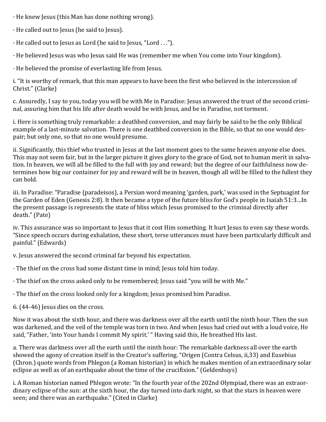- · He knew Jesus (this Man has done nothing wrong).
- · He called out to Jesus (he said to Jesus).
- · He called out to Jesus as Lord (he said to Jesus, "Lord . . .").
- · He believed Jesus was who Jesus said He was (remember me when You come into Your kingdom).
- · He believed the promise of everlasting life from Jesus.

i. "It is worthy of remark, that this man appears to have been the first who believed in the intercession of Christ." (Clarke)

c. Assuredly, I say to you, today you will be with Me in Paradise: Jesus answered the trust of the second criminal, assuring him that his life after death would be with Jesus, and be in Paradise, not torment.

i. Here is something truly remarkable: a deathbed conversion, and may fairly be said to be the only Biblical example of a last-minute salvation. There is one deathbed conversion in the Bible, so that no one would despair; but only one, so that no one would presume.

ii. Significantly, this thief who trusted in Jesus at the last moment goes to the same heaven anyone else does. This may not seem fair, but in the larger picture it gives glory to the grace of God, not to human merit in salvation. In heaven, we will all be filled to the full with joy and reward; but the degree of our faithfulness now determines how big our container for joy and reward will be in heaven, though all will be filled to the fullest they can hold.

iii. In Paradise: "Paradise (paradeisos), a Persian word meaning 'garden, park,' was used in the Septuagint for the Garden of Eden (Genesis 2:8). It then became a type of the future bliss for God's people in Isaiah 51:3…In the present passage is represents the state of bliss which Jesus promised to the criminal directly after death." (Pate)

iv. This assurance was so important to Jesus that it cost Him something. It hurt Jesus to even say these words. "Since speech occurs during exhalation, these short, terse utterances must have been particularly difficult and painful." (Edwards)

v. Jesus answered the second criminal far beyond his expectation.

- · The thief on the cross had some distant time in mind; Jesus told him today.
- · The thief on the cross asked only to be remembered; Jesus said "you will be with Me."
- · The thief on the cross looked only for a kingdom; Jesus promised him Paradise.

6. (44-46) Jesus dies on the cross.

Now it was about the sixth hour, and there was darkness over all the earth until the ninth hour. Then the sun was darkened, and the veil of the temple was torn in two. And when Jesus had cried out with a loud voice, He said, "Father, 'into Your hands I commit My spirit.' " Having said this, He breathed His last.

a. There was darkness over all the earth until the ninth hour: The remarkable darkness all over the earth showed the agony of creation itself in the Creator's suffering. "Origen (Contra Celsus, ii,33) and Eusebius (Chron.) quote words from Phlegon (a Roman historian) in which he makes mention of an extraordinary solar eclipse as well as of an earthquake about the time of the crucifixion." (Geldenhuys)

i. A Roman historian named Phlegon wrote: "In the fourth year of the 202nd Olympiad, there was an extraordinary eclipse of the sun: at the sixth hour, the day turned into dark night, so that the stars in heaven were seen; and there was an earthquake." (Cited in Clarke)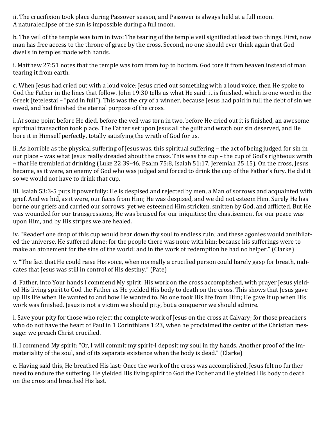ii. The crucifixion took place during Passover season, and Passover is always held at a full moon. A naturaleclipse of the sun is impossible during a full moon.

b. The veil of the temple was torn in two: The tearing of the temple veil signified at least two things. First, now man has free access to the throne of grace by the cross. Second, no one should ever think again that God dwells in temples made with hands.

i. Matthew 27:51 notes that the temple was torn from top to bottom. God tore it from heaven instead of man tearing it from earth.

c. When Jesus had cried out with a loud voice: Jesus cried out something with a loud voice, then He spoke to God the Father in the lines that follow. John 19:30 tells us what He said: it is finished, which is one word in the Greek (tetelestai – "paid in full"). This was the cry of a winner, because Jesus had paid in full the debt of sin we owed, and had finished the eternal purpose of the cross.

i. At some point before He died, before the veil was torn in two, before He cried out it is finished, an awesome spiritual transaction took place. The Father set upon Jesus all the guilt and wrath our sin deserved, and He bore it in Himself perfectly, totally satisfying the wrath of God for us.

ii. As horrible as the physical suffering of Jesus was, this spiritual suffering – the act of being judged for sin in our place – was what Jesus really dreaded about the cross. This was the cup – the cup of God's righteous wrath – that He trembled at drinking (Luke 22:39-46, Psalm 75:8, Isaiah 51:17, Jeremiah 25:15). On the cross, Jesus became, as it were, an enemy of God who was judged and forced to drink the cup of the Father's fury. He did it so we would not have to drink that cup.

iii. Isaiah 53:3-5 puts it powerfully: He is despised and rejected by men, a Man of sorrows and acquainted with grief. And we hid, as it were, our faces from Him; He was despised, and we did not esteem Him. Surely He has borne our griefs and carried our sorrows; yet we esteemed Him stricken, smitten by God, and afflicted. But He was wounded for our transgressions, He was bruised for our iniquities; the chastisement for our peace was upon Him, and by His stripes we are healed.

iv. "Reader! one drop of this cup would bear down thy soul to endless ruin; and these agonies would annihilated the universe. He suffered alone: for the people there was none with him; because his sufferings were to make an atonement for the sins of the world: and in the work of redemption he had no helper." (Clarke)

v. "The fact that He could raise His voice, when normally a crucified person could barely gasp for breath, indicates that Jesus was still in control of His destiny." (Pate)

d. Father, into Your hands I commend My spirit: His work on the cross accomplished, with prayer Jesus yielded His living spirit to God the Father as He yielded His body to death on the cross. This shows that Jesus gave up His life when He wanted to and how He wanted to. No one took His life from Him; He gave it up when His work was finished. Jesus is not a victim we should pity, but a conqueror we should admire.

i. Save your pity for those who reject the complete work of Jesus on the cross at Calvary; for those preachers who do not have the heart of Paul in 1 Corinthians 1:23, when he proclaimed the center of the Christian message: we preach Christ crucified.

ii. I commend My spirit: "Or, I will commit my spirit-I deposit my soul in thy hands. Another proof of the immateriality of the soul, and of its separate existence when the body is dead." (Clarke)

e. Having said this, He breathed His last: Once the work of the cross was accomplished, Jesus felt no further need to endure the suffering. He yielded His living spirit to God the Father and He yielded His body to death on the cross and breathed His last.